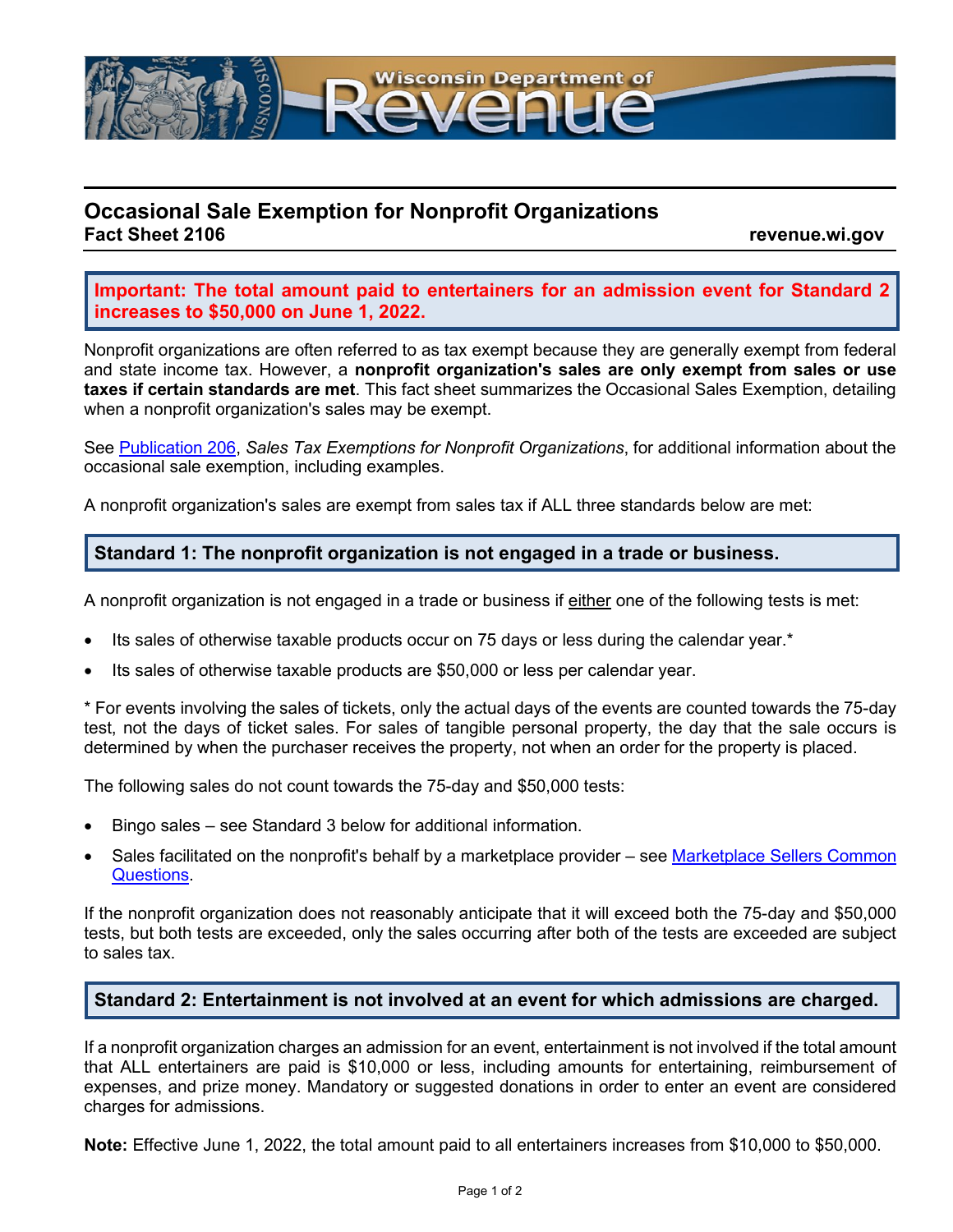

# **Occasional Sale Exemption for Nonprofit Organizations**

**Fact Sheet 2106 revenue.wi.gov**

**Important: The total amount paid to entertainers for an admission event for Standard 2 increases to \$50,000 on June 1, 2022.**

Nonprofit organizations are often referred to as tax exempt because they are generally exempt from federal and state income tax. However, a **nonprofit organization's sales are only exempt from sales or use taxes if certain standards are met**. This fact sheet summarizes the Occasional Sales Exemption, detailing when a nonprofit organization's sales may be exempt.

See [Publication 206,](https://www.revenue.wi.gov/DOR%20Publications/pb206.pdf) *Sales Tax Exemptions for Nonprofit Organizations*, for additional information about the occasional sale exemption, including examples.

A nonprofit organization's sales are exempt from sales tax if ALL three standards below are met:

#### **Standard 1: The nonprofit organization is not engaged in a trade or business.**

A nonprofit organization is not engaged in a trade or business if either one of the following tests is met:

- Its sales of otherwise taxable products occur on 75 days or less during the calendar year.\*
- Its sales of otherwise taxable products are \$50,000 or less per calendar year.

\* For events involving the sales of tickets, only the actual days of the events are counted towards the 75-day test, not the days of ticket sales. For sales of tangible personal property, the day that the sale occurs is determined by when the purchaser receives the property, not when an order for the property is placed.

The following sales do not count towards the 75-day and \$50,000 tests:

- Bingo sales see Standard 3 below for additional information.
- Sales facilitated on the nonprofit's behalf by a marketplace provider see Marketplace Sellers Common [Questions.](https://www.revenue.wi.gov/Pages/FAQS/ise-marketplace-sellers.aspx#rst11)

If the nonprofit organization does not reasonably anticipate that it will exceed both the 75-day and \$50,000 tests, but both tests are exceeded, only the sales occurring after both of the tests are exceeded are subject to sales tax.

# **Standard 2: Entertainment is not involved at an event for which admissions are charged.**

If a nonprofit organization charges an admission for an event, entertainment is not involved if the total amount that ALL entertainers are paid is \$10,000 or less, including amounts for entertaining, reimbursement of expenses, and prize money. Mandatory or suggested donations in order to enter an event are considered charges for admissions.

**Note:** Effective June 1, 2022, the total amount paid to all entertainers increases from \$10,000 to \$50,000.